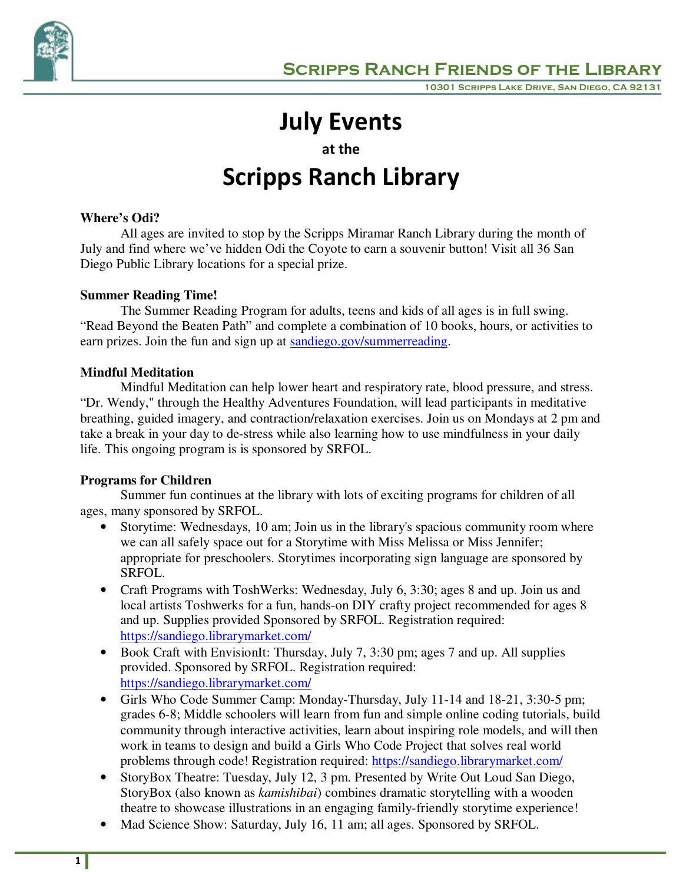

# **July Events**

**at the** 

# **Scripps Ranch Library**

## **Where's Odi?**

All ages are invited to stop by the Scripps Miramar Ranch Library during the month of July and find where we've hidden Odi the Coyote to earn a souvenir button! Visit all 36 San Diego Public Library locations for a special prize.

# **Summer Reading Time!**

The Summer Reading Program for adults, teens and kids of all ages is in full swing. "Read Beyond the Beaten Path" and complete a combination of 10 books, hours, or activities to earn prizes. Join the fun and sign up at sandiego.gov/summerreading.

# **Mindful Meditation**

Mindful Meditation can help lower heart and respiratory rate, blood pressure, and stress. "Dr. Wendy," through the Healthy Adventures Foundation, will lead participants in meditative breathing, guided imagery, and contraction/relaxation exercises. Join us on Mondays at 2 pm and take a break in your day to de-stress while also learning how to use mindfulness in your daily life. This ongoing program is is sponsored by SRFOL.

## **Programs for Children**

Summer fun continues at the library with lots of exciting programs for children of all ages, many sponsored by SRFOL.

- Storytime: Wednesdays, 10 am; Join us in the library's spacious community room where we can all safely space out for a Storytime with Miss Melissa or Miss Jennifer; appropriate for preschoolers. Storytimes incorporating sign language are sponsored by SRFOL.
- Craft Programs with ToshWerks: Wednesday, July 6, 3:30; ages 8 and up. Join us and local artists Toshwerks for a fun, hands-on DIY crafty project recommended for ages 8 and up. Supplies provided Sponsored by SRFOL. Registration required: https://sandiego.librarymarket.com/
- Book Craft with EnvisionIt: Thursday, July 7, 3:30 pm; ages 7 and up. All supplies provided. Sponsored by SRFOL. Registration required: https://sandiego.librarymarket.com/
- Girls Who Code Summer Camp: Monday-Thursday, July 11-14 and 18-21, 3:30-5 pm; grades 6-8; Middle schoolers will learn from fun and simple online coding tutorials, build community through interactive activities, learn about inspiring role models, and will then work in teams to design and build a Girls Who Code Project that solves real world problems through code! Registration required: https://sandiego.librarymarket.com/
- StoryBox Theatre: Tuesday, July 12, 3 pm. Presented by Write Out Loud San Diego, StoryBox (also known as *kamishibai*) combines dramatic storytelling with a wooden theatre to showcase illustrations in an engaging family-friendly storytime experience!
- Mad Science Show: Saturday, July 16, 11 am; all ages. Sponsored by SRFOL.